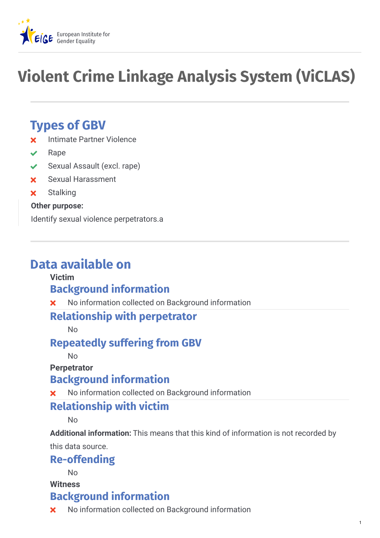

# **Violent Crime Linkage Analysis System (ViCLAS)**

# **Types of GBV**

- **x** Intimate Partner Violence
- Rape
- ◆ Sexual Assault (excl. rape)
- Sexual Harassment
- **x** Stalking

#### **Other purpose:**

Identify sexual violence perpetrators.a

# **Data available on**

#### **Victim**

# **Background information**

No information collected on Background information

#### **Relationship with perpetrator**

No

### **Repeatedly suffering from GBV**

No

**Perpetrator**

#### **Background information**

No information collected on Background information

#### **Relationship with victim**

No

**Additional information:** This means that this kind of information is not recorded by

this data source.

### **Re-offending**

No

**Witness**

### **Background information**

**X** No information collected on Background information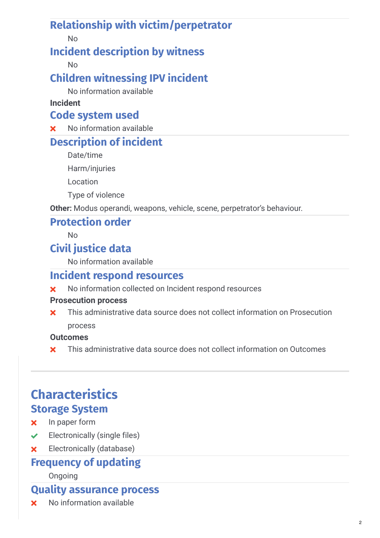# **Relationship with victim/perpetrator**

No

# **Incident description by witness**

No

# **Children witnessing IPV incident**

No information available

#### **Incident**

### **Code system used**

**x** No information available

# **Description of incident**

Date/time

Harm/injuries

Location

Type of violence

**Other:** Modus operandi, weapons, vehicle, scene, perpetrator's behaviour.

### **Protection order**

 $N<sub>0</sub>$ 

# **Civil justice data**

No information available

# **Incident respond resources**

**X** No information collected on Incident respond resources

#### **Prosecution process**

This administrative data source does not collect information on Prosecution process  $\mathbf x$ 

#### **Outcomes**

**x** This administrative data source does not collect information on Outcomes

# **Characteristics Storage System**

- **x** In paper form
- $\checkmark$  Electronically (single files)
- Electronically (database)

# **Frequency of updating**

#### Ongoing

## **Quality assurance process**

**x** No information available